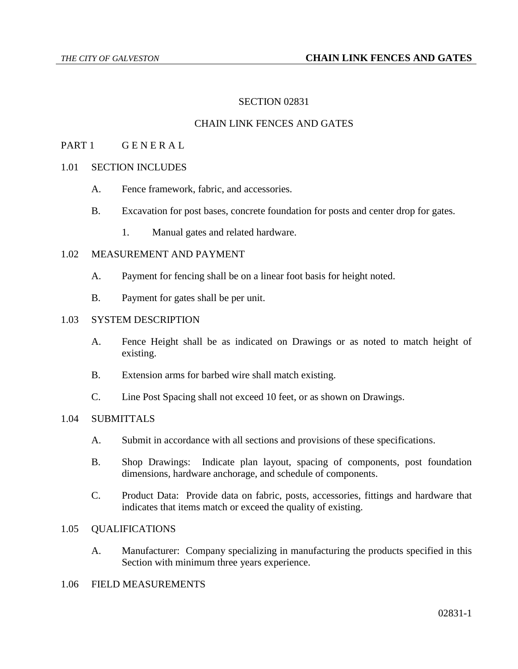## SECTION 02831

## CHAIN LINK FENCES AND GATES

### PART 1 GENERAL

## 1.01 SECTION INCLUDES

- A. Fence framework, fabric, and accessories.
- B. Excavation for post bases, concrete foundation for posts and center drop for gates.
	- 1. Manual gates and related hardware.

#### 1.02 MEASUREMENT AND PAYMENT

- A. Payment for fencing shall be on a linear foot basis for height noted.
- B. Payment for gates shall be per unit.

#### 1.03 SYSTEM DESCRIPTION

- A. Fence Height shall be as indicated on Drawings or as noted to match height of existing.
- B. Extension arms for barbed wire shall match existing.
- C. Line Post Spacing shall not exceed 10 feet, or as shown on Drawings.

### 1.04 SUBMITTALS

- A. Submit in accordance with all sections and provisions of these specifications.
- B. Shop Drawings: Indicate plan layout, spacing of components, post foundation dimensions, hardware anchorage, and schedule of components.
- C. Product Data: Provide data on fabric, posts, accessories, fittings and hardware that indicates that items match or exceed the quality of existing.

#### 1.05 QUALIFICATIONS

A. Manufacturer: Company specializing in manufacturing the products specified in this Section with minimum three years experience.

### 1.06 FIELD MEASUREMENTS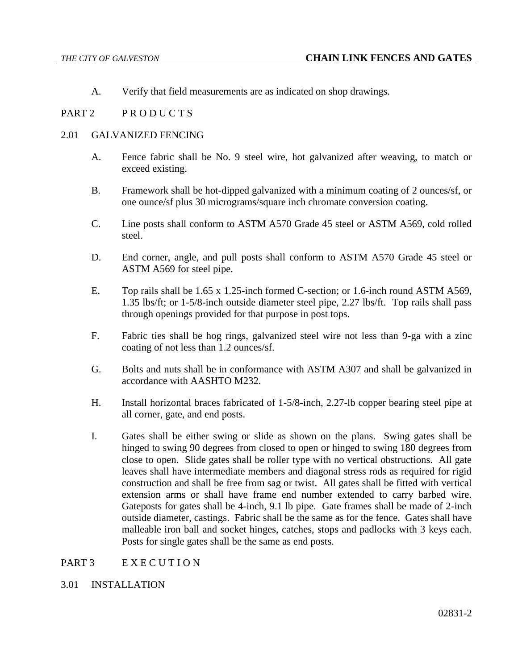A. Verify that field measurements are as indicated on shop drawings.

## PART 2 PRODUCTS

### 2.01 GALVANIZED FENCING

- A. Fence fabric shall be No. 9 steel wire, hot galvanized after weaving, to match or exceed existing.
- B. Framework shall be hot-dipped galvanized with a minimum coating of 2 ounces/sf, or one ounce/sf plus 30 micrograms/square inch chromate conversion coating.
- C. Line posts shall conform to ASTM A570 Grade 45 steel or ASTM A569, cold rolled steel.
- D. End corner, angle, and pull posts shall conform to ASTM A570 Grade 45 steel or ASTM A569 for steel pipe.
- E. Top rails shall be 1.65 x 1.25-inch formed C-section; or 1.6-inch round ASTM A569, 1.35 lbs/ft; or 1-5/8-inch outside diameter steel pipe, 2.27 lbs/ft. Top rails shall pass through openings provided for that purpose in post tops.
- F. Fabric ties shall be hog rings, galvanized steel wire not less than 9-ga with a zinc coating of not less than 1.2 ounces/sf.
- G. Bolts and nuts shall be in conformance with ASTM A307 and shall be galvanized in accordance with AASHTO M232.
- H. Install horizontal braces fabricated of 1-5/8-inch, 2.27-lb copper bearing steel pipe at all corner, gate, and end posts.
- I. Gates shall be either swing or slide as shown on the plans. Swing gates shall be hinged to swing 90 degrees from closed to open or hinged to swing 180 degrees from close to open. Slide gates shall be roller type with no vertical obstructions. All gate leaves shall have intermediate members and diagonal stress rods as required for rigid construction and shall be free from sag or twist. All gates shall be fitted with vertical extension arms or shall have frame end number extended to carry barbed wire. Gateposts for gates shall be 4-inch, 9.1 lb pipe. Gate frames shall be made of 2-inch outside diameter, castings. Fabric shall be the same as for the fence. Gates shall have malleable iron ball and socket hinges, catches, stops and padlocks with 3 keys each. Posts for single gates shall be the same as end posts.

## PART 3 EXECUTION

### 3.01 INSTALLATION